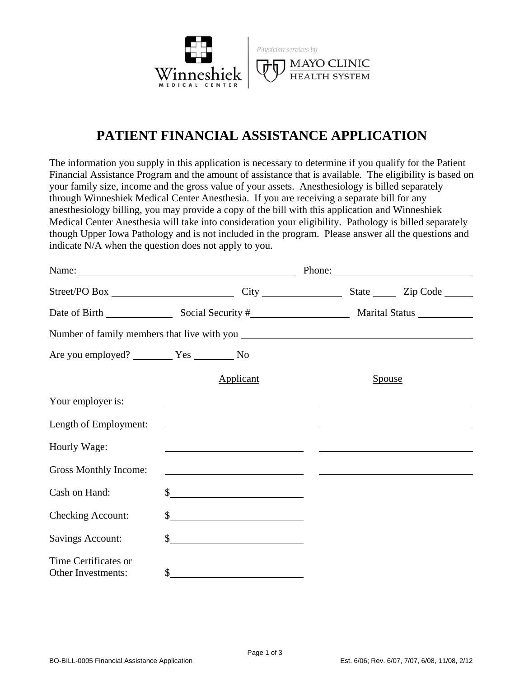

## **PATIENT FINANCIAL ASSISTANCE APPLICATION**

The information you supply in this application is necessary to determine if you qualify for the Patient Financial Assistance Program and the amount of assistance that is available. The eligibility is based on your family size, income and the gross value of your assets. Anesthesiology is billed separately through Winneshiek Medical Center Anesthesia. If you are receiving a separate bill for any anesthesiology billing, you may provide a copy of the bill with this application and Winneshiek Medical Center Anesthesia will take into consideration your eligibility. Pathology is billed separately though Upper Iowa Pathology and is not included in the program. Please answer all the questions and indicate N/A when the question does not apply to you.

|                                            |                                                                                                                       |                                                                                               | Phone:                                                    |
|--------------------------------------------|-----------------------------------------------------------------------------------------------------------------------|-----------------------------------------------------------------------------------------------|-----------------------------------------------------------|
|                                            |                                                                                                                       |                                                                                               |                                                           |
|                                            |                                                                                                                       |                                                                                               |                                                           |
|                                            |                                                                                                                       |                                                                                               |                                                           |
| Are you employed? Ves No                   |                                                                                                                       |                                                                                               |                                                           |
|                                            | Applicant                                                                                                             | Spouse                                                                                        |                                                           |
| Your employer is:                          |                                                                                                                       | and the control of the control of the control of the control of the control of the control of |                                                           |
| Length of Employment:                      | <u> 1980 - Jan Barnett, fransk politiker (d. 1980)</u>                                                                |                                                                                               | <u> 1980 - Andrea Stadt Britain, amerikansk politik (</u> |
| Hourly Wage:                               | <u> 1989 - Johann Harry Harry Harry Harry Harry Harry Harry Harry Harry Harry Harry Harry Harry Harry Harry Harry</u> |                                                                                               |                                                           |
| Gross Monthly Income:                      | <u> 1989 - Andrea Stadt, fransk politik (d. 1989)</u>                                                                 |                                                                                               |                                                           |
| Cash on Hand:                              |                                                                                                                       |                                                                                               |                                                           |
| <b>Checking Account:</b>                   |                                                                                                                       |                                                                                               |                                                           |
| <b>Savings Account:</b>                    | $\sim$                                                                                                                |                                                                                               |                                                           |
| Time Certificates or<br>Other Investments: | \$<br><u> 1989 - Andrea State Barbara, política establece</u>                                                         |                                                                                               |                                                           |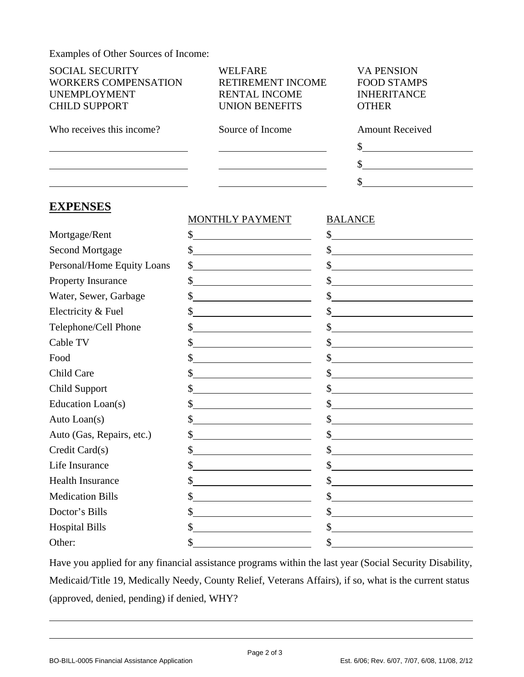Examples of Other Sources of Income:

| Examples of Other Sources of Income:                                                                 |                                                                                                                      |                                                                               |  |
|------------------------------------------------------------------------------------------------------|----------------------------------------------------------------------------------------------------------------------|-------------------------------------------------------------------------------|--|
| <b>SOCIAL SECURITY</b><br><b>WORKERS COMPENSATION</b><br><b>UNEMPLOYMENT</b><br><b>CHILD SUPPORT</b> | <b>WELFARE</b><br>RETIREMENT INCOME<br><b>RENTAL INCOME</b><br><b>UNION BENEFITS</b>                                 | <b>VA PENSION</b><br><b>FOOD STAMPS</b><br><b>INHERITANCE</b><br><b>OTHER</b> |  |
| Who receives this income?                                                                            | Source of Income                                                                                                     | <b>Amount Received</b>                                                        |  |
|                                                                                                      | <u> 1980 - Johann Barn, mars ann an t-Amhain Aonaich an t-Aonaich an t-Aonaich ann an t-Aonaich ann an t-Aonaich</u> | \$<br><u> 1980 - Johann Barbara, martin basa</u>                              |  |
| <u> 1980 - Johann Barn, mars an t-Amerikaansk politiker (</u>                                        |                                                                                                                      | $\frac{1}{2}$                                                                 |  |
| <u> 1989 - Johann Barbara, martxa al III-lea (h. 1989).</u>                                          |                                                                                                                      | $\frac{\text{S}}{\text{S}}$                                                   |  |
| <b>EXPENSES</b>                                                                                      |                                                                                                                      |                                                                               |  |
|                                                                                                      | <b>MONTHLY PAYMENT</b>                                                                                               | <b>BALANCE</b>                                                                |  |
| Mortgage/Rent                                                                                        | $\frac{1}{2}$                                                                                                        | $\frac{1}{2}$                                                                 |  |
| <b>Second Mortgage</b>                                                                               | $\frac{\text{S}}{\text{S}}$                                                                                          | $\frac{1}{2}$                                                                 |  |
| Personal/Home Equity Loans                                                                           | $\frac{\text{S}}{\text{S}}$                                                                                          | $\frac{1}{2}$                                                                 |  |
| Property Insurance                                                                                   | $\frac{\sqrt{2}}{2}$                                                                                                 | $\frac{1}{2}$                                                                 |  |
| Water, Sewer, Garbage                                                                                | $\frac{1}{2}$                                                                                                        | $\frac{1}{2}$                                                                 |  |
| Electricity & Fuel                                                                                   |                                                                                                                      | s                                                                             |  |
| Telephone/Cell Phone                                                                                 | $\frac{\text{S}}{\text{S}}$                                                                                          | s                                                                             |  |
| Cable TV                                                                                             | $\frac{1}{2}$                                                                                                        | $\frac{1}{2}$                                                                 |  |
| Food                                                                                                 |                                                                                                                      | $\frac{1}{2}$                                                                 |  |
| Child Care                                                                                           | $\frac{\sqrt{2}}{2}$                                                                                                 | $\frac{1}{2}$                                                                 |  |
| <b>Child Support</b>                                                                                 |                                                                                                                      | $\frac{1}{2}$                                                                 |  |
| Education Loan(s)                                                                                    | $\frac{\sqrt{2}}{2}$                                                                                                 | $\frac{1}{2}$                                                                 |  |
| Auto Loan(s)                                                                                         | \$<br><u> 1989 - Andrea Andrew Maria (b. 1989)</u>                                                                   | \$<br><u> 1980 - Andrea Andrew Maria (h. 1980).</u>                           |  |
| Auto (Gas, Repairs, etc.)                                                                            |                                                                                                                      | \$                                                                            |  |
| Credit Card(s)                                                                                       | \$                                                                                                                   | \$                                                                            |  |
| Life Insurance                                                                                       | \$                                                                                                                   | \$                                                                            |  |
| <b>Health Insurance</b><br>\$                                                                        |                                                                                                                      | \$                                                                            |  |
| <b>Medication Bills</b>                                                                              | \$                                                                                                                   | \$                                                                            |  |

Have you applied for any financial assistance programs within the last year (Social Security Disability, Medicaid/Title 19, Medically Needy, County Relief, Veterans Affairs), if so, what is the current status (approved, denied, pending) if denied, WHY?

Doctor's Bills  $\qquad \qquad \text{S}$  \$ Hospital Bills  $\qquad \qquad$  \$ Other:  $\qquad \qquad \text{\$\$}$   $\qquad \qquad \text{\$\$}$ 

 $\overline{a}$